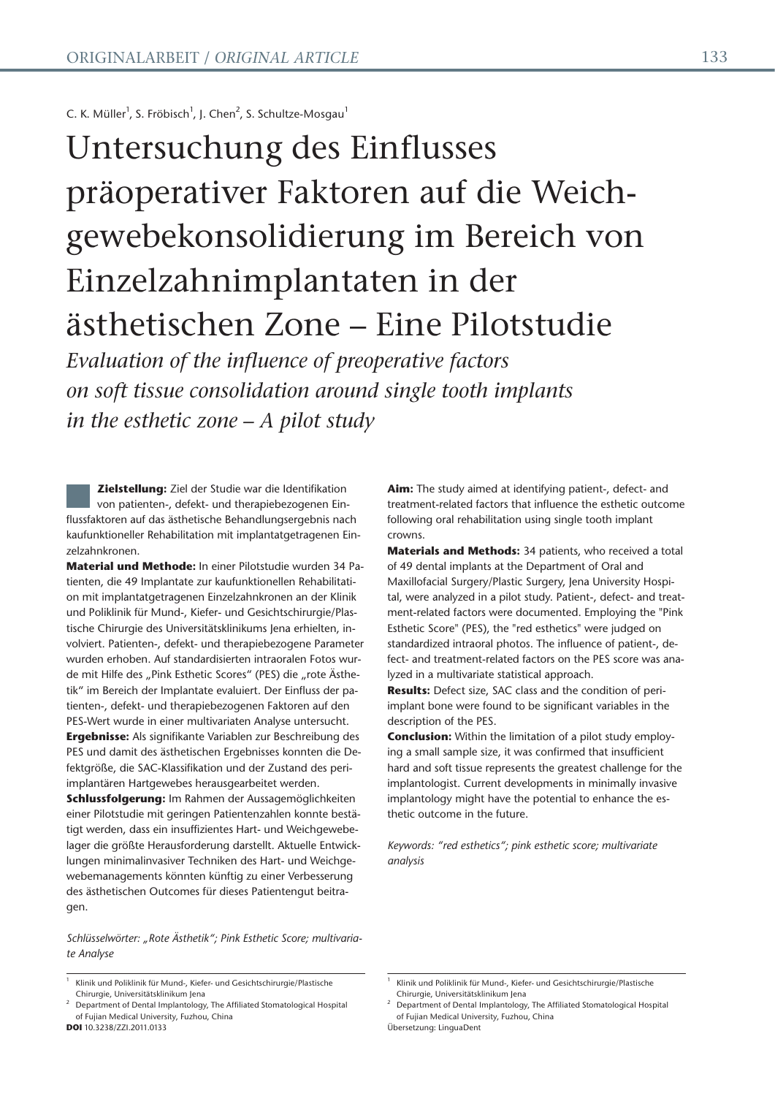C. K. Müller<sup>1</sup>, S. Fröbisch<sup>1</sup>, J. Chen<sup>2</sup>, S. Schultze-Mosgau<sup>1</sup>

## Untersuchung des Einflusses präoperativer Faktoren auf die Weich gewebekonsolidierung im Bereich von Einzelzahnimplantaten in der ästhetischen Zone – Eine Pilotstudie

*Evaluation of the influence of preoperative factors on soft tissue consolidation around single tooth implants in the esthetic zone – A pilot study*

**Zielstellung:** Ziel der Studie war die Identifikation von patienten-, defekt- und therapiebezogenen Einflussfaktoren auf das ästhetische Behandlungsergebnis nach kaufunktioneller Rehabilitation mit implantatgetragenen Einzelzahnkronen.

**Material und Methode:** In einer Pilotstudie wurden 34 Patienten, die 49 Implantate zur kaufunktionellen Rehabilitation mit implantatgetragenen Einzelzahnkronen an der Klinik und Poliklinik für Mund-, Kiefer- und Gesichtschirurgie/Plastische Chirurgie des Universitätsklinikums Jena erhielten, involviert. Patienten-, defekt- und therapiebezogene Parameter wurden erhoben. Auf standardisierten intraoralen Fotos wurde mit Hilfe des "Pink Esthetic Scores" (PES) die "rote Ästhetik" im Bereich der Implantate evaluiert. Der Einfluss der patienten-, defekt- und therapiebezogenen Faktoren auf den PES-Wert wurde in einer multivariaten Analyse untersucht. **Ergebnisse:** Als signifikante Variablen zur Beschreibung des PES und damit des ästhetischen Ergebnisses konnten die Defektgröße, die SAC-Klassifikation und der Zustand des periimplantären Hartgewebes herausgearbeitet werden.

**Schlussfolgerung:** Im Rahmen der Aussagemöglichkeiten einer Pilotstudie mit geringen Patientenzahlen konnte bestätigt werden, dass ein insuffizientes Hart- und Weichgewebelager die größte Herausforderung darstellt. Aktuelle Entwicklungen minimalinvasiver Techniken des Hart- und Weichgewebemanagements könnten künftig zu einer Verbesserung des ästhetischen Outcomes für dieses Patientengut beitragen.

Schlüsselwörter: "Rote Ästhetik"; Pink Esthetic Score; multivaria*te Analyse* 

**Materials and Methods:** 34 patients, who received a total of 49 dental implants at the Department of Oral and Maxillofacial Surgery/Plastic Surgery, Jena University Hospital, were analyzed in a pilot study. Patient-, defect- and treatment-related factors were documented. Employing the "Pink Esthetic Score" (PES), the "red esthetics" were judged on standardized intraoral photos. The influence of patient-, defect- and treatment-related factors on the PES score was analyzed in a multivariate statistical approach.

**Results:** Defect size, SAC class and the condition of periimplant bone were found to be significant variables in the description of the PES.

**Conclusion:** Within the limitation of a pilot study employing a small sample size, it was confirmed that insufficient hard and soft tissue represents the greatest challenge for the implantologist. Current developments in minimally invasive implantology might have the potential to enhance the esthetic outcome in the future.

*Keywords: "red esthetics"; pink esthetic score; multivariate analysis*

<sup>1</sup> Klinik und Poliklinik für Mund-, Kiefer- und Gesichtschirurgie/Plastische Chirurgie, Universitätsklinikum Jena

<sup>2</sup> Department of Dental Implantology, The Affiliated Stomatological Hospital of Fujian Medical University, Fuzhou, China **DOI** 10.3238/ZZI.2011.0133

**Aim:** The study aimed at identifying patient-, defect- and treatment-related factors that influence the esthetic outcome following oral rehabilitation using single tooth implant crowns.

<sup>&</sup>lt;sup>1</sup> Klinik und Poliklinik für Mund-, Kiefer- und Gesichtschirurgie/Plastische Chirurgie, Universitätsklinikum Jena

<sup>&</sup>lt;sup>2</sup> Department of Dental Implantology, The Affiliated Stomatological Hospital of Fujian Medical University, Fuzhou, China Übersetzung: LinguaDent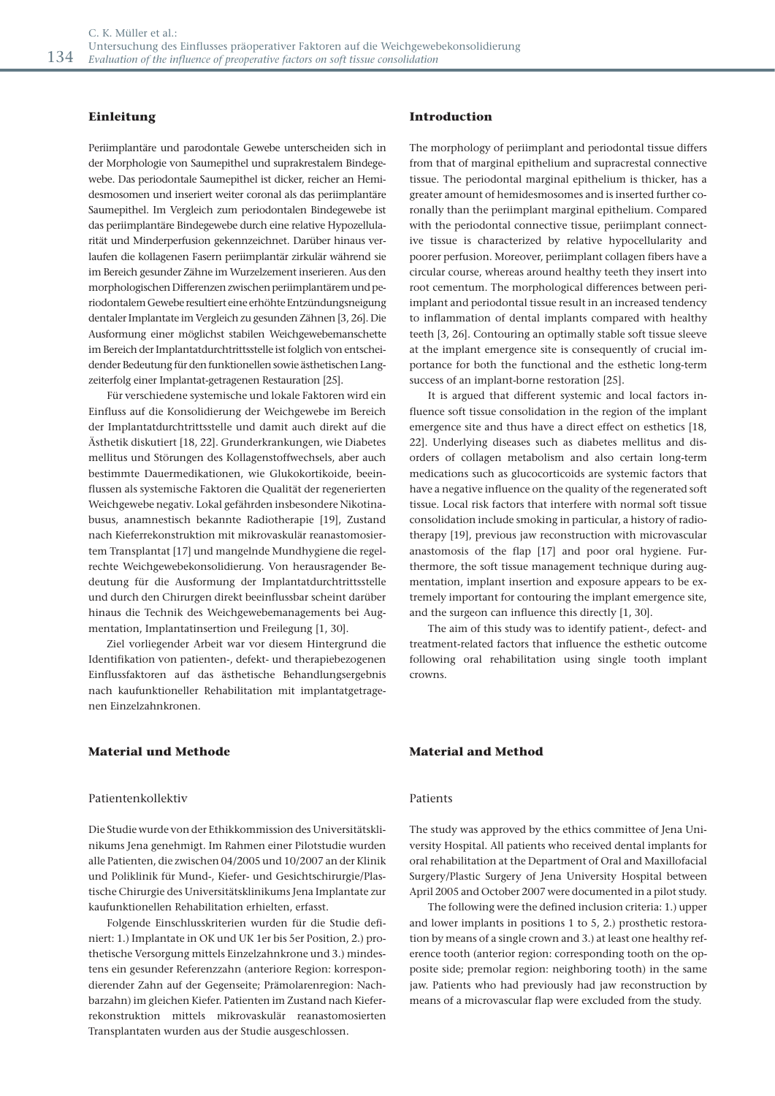## **Einleitung**

Periimplantäre und parodontale Gewebe unterscheiden sich in der Morphologie von Saumepithel und suprakrestalem Bindegewebe. Das periodontale Saumepithel ist dicker, reicher an Hemidesmosomen und inseriert weiter coronal als das periimplantäre Saumepithel. Im Vergleich zum periodontalen Bindegewebe ist das periimplantäre Bindegewebe durch eine relative Hypozellularität und Minderperfusion gekennzeichnet. Darüber hinaus verlaufen die kollagenen Fasern periimplantär zirkulär während sie im Bereich gesunder Zähne im Wurzelzement inserieren. Aus den morphologischen Differenzen zwischen periimplantärem und periodontalem Gewebe resultiert eine erhöhte Entzündungsneigung dentaler Implantate im Vergleich zu gesunden Zähnen [3, 26]. Die Ausformung einer möglichst stabilen Weichgewebemanschette im Bereich der Implantatdurchtrittsstelle ist folglich von entscheidender Bedeutung für den funktionellen sowie ästhetischen Langzeiterfolg einer Implantat-getragenen Restauration [25].

Für verschiedene systemische und lokale Faktoren wird ein Einfluss auf die Konsolidierung der Weichgewebe im Bereich der Implantatdurchtrittsstelle und damit auch direkt auf die Ästhetik diskutiert [18, 22]. Grunderkrankungen, wie Diabetes mellitus und Störungen des Kollagenstoffwechsels, aber auch bestimmte Dauermedikationen, wie Glukokortikoide, beeinflussen als systemische Faktoren die Qualität der regenerierten Weichgewebe negativ. Lokal gefährden insbesondere Nikotinabusus, anamnestisch bekannte Radiotherapie [19], Zustand nach Kieferrekonstruktion mit mikrovaskulär reanastomosiertem Transplantat [17] und mangelnde Mundhygiene die regelrechte Weichgewebekonsolidierung. Von herausragender Bedeutung für die Ausformung der Implantatdurchtrittsstelle und durch den Chirurgen direkt beeinflussbar scheint darüber hinaus die Technik des Weichgewebemanagements bei Augmentation, Implantatinsertion und Freilegung [1, 30].

Ziel vorliegender Arbeit war vor diesem Hintergrund die Identifikation von patienten-, defekt- und therapiebezogenen Einflussfaktoren auf das ästhetische Behandlungsergebnis nach kaufunktioneller Rehabilitation mit implantatgetragenen Einzelzahnkronen.

## **Material und Methode**

#### Patientenkollektiv

Die Studie wurde von der Ethikkommission des Universitätsklinikums Jena genehmigt. Im Rahmen einer Pilotstudie wurden alle Patienten, die zwischen 04/2005 und 10/2007 an der Klinik und Poliklinik für Mund-, Kiefer- und Gesichtschirurgie/Plastische Chirurgie des Universitätsklinikums Jena Implantate zur kaufunktionellen Rehabilitation erhielten, erfasst.

Folgende Einschlusskriterien wurden für die Studie definiert: 1.) Implantate in OK und UK 1er bis 5er Position, 2.) prothetische Versorgung mittels Einzelzahnkrone und 3.) mindestens ein gesunder Referenzzahn (anteriore Region: korrespondierender Zahn auf der Gegenseite; Prämolarenregion: Nachbarzahn) im gleichen Kiefer. Patienten im Zustand nach Kieferrekonstruktion mittels mikrovaskulär reanastomosierten Transplantaten wurden aus der Studie ausgeschlossen.

## **Introduction**

The morphology of periimplant and periodontal tissue differs from that of marginal epithelium and supracrestal connective tissue. The periodontal marginal epithelium is thicker, has a greater amount of hemidesmosomes and is inserted further coronally than the periimplant marginal epithelium. Compared with the periodontal connective tissue, periimplant connective tissue is characterized by relative hypocellularity and poorer perfusion. Moreover, periimplant collagen fibers have a circular course, whereas around healthy teeth they insert into root cementum. The morphological differences between periimplant and periodontal tissue result in an increased tendency to inflammation of dental implants compared with healthy teeth [3, 26]. Contouring an optimally stable soft tissue sleeve at the implant emergence site is consequently of crucial importance for both the functional and the esthetic long-term success of an implant-borne restoration [25].

It is argued that different systemic and local factors influence soft tissue consolidation in the region of the implant emergence site and thus have a direct effect on esthetics [18, 22]. Underlying diseases such as diabetes mellitus and disorders of collagen metabolism and also certain long-term medications such as glucocorticoids are systemic factors that have a negative influence on the quality of the regenerated soft tissue. Local risk factors that interfere with normal soft tissue consolidation include smoking in particular, a history of radiotherapy [19], previous jaw reconstruction with microvascular anastomosis of the flap [17] and poor oral hygiene. Furthermore, the soft tissue management technique during augmentation, implant insertion and exposure appears to be extremely important for contouring the implant emergence site, and the surgeon can influence this directly [1, 30].

The aim of this study was to identify patient-, defect- and treatment-related factors that influence the esthetic outcome following oral rehabilitation using single tooth implant crowns.

## **Material and Method**

#### Patients

The study was approved by the ethics committee of Jena University Hospital. All patients who received dental implants for oral rehabilitation at the Department of Oral and Maxillofacial Surgery/Plastic Surgery of Jena University Hospital between April 2005 and October 2007 were documented in a pilot study.

The following were the defined inclusion criteria: 1.) upper and lower implants in positions 1 to 5, 2.) prosthetic restoration by means of a single crown and 3.) at least one healthy reference tooth (anterior region: corresponding tooth on the opposite side; premolar region: neighboring tooth) in the same jaw. Patients who had previously had jaw reconstruction by means of a microvascular flap were excluded from the study.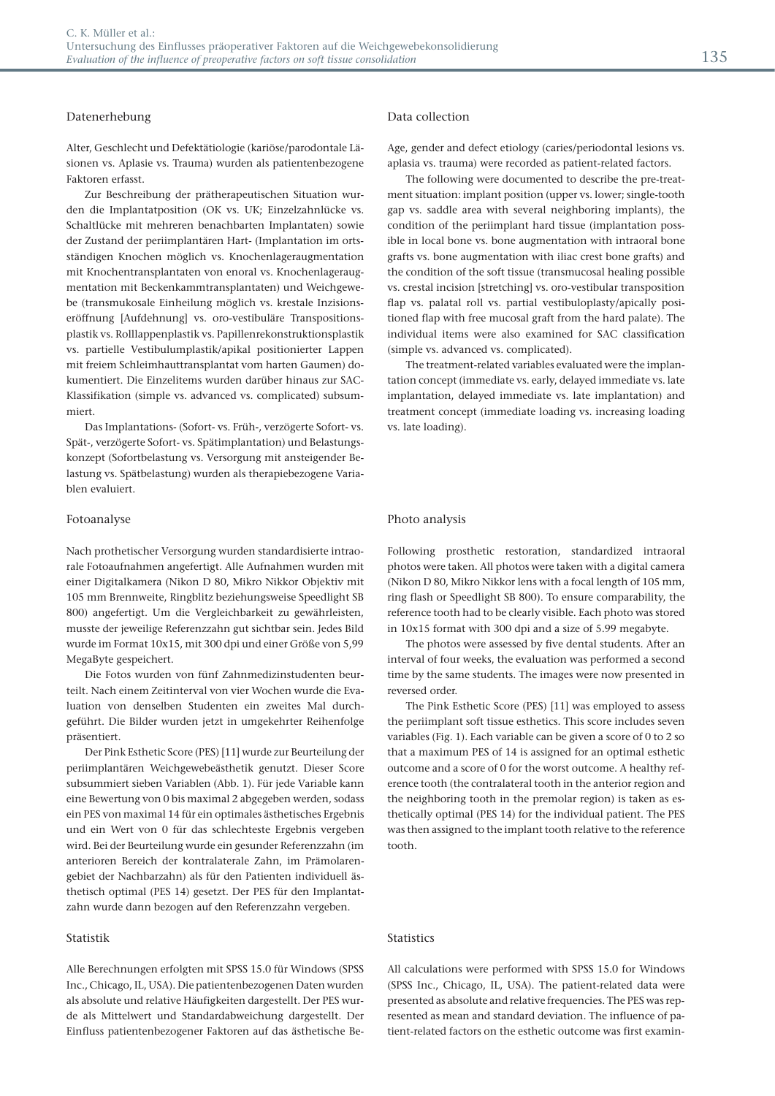## Datenerhebung

Alter, Geschlecht und Defektätiologie (kariöse/parodontale Läsionen vs. Aplasie vs. Trauma) wurden als patientenbezogene Faktoren erfasst.

Zur Beschreibung der prätherapeutischen Situation wurden die Implantatposition (OK vs. UK; Einzelzahnlücke vs. Schaltlücke mit mehreren benachbarten Implantaten) sowie der Zustand der periimplantären Hart- (Implantation im ortsständigen Knochen möglich vs. Knochenlageraugmentation mit Knochentransplantaten von enoral vs. Knochenlageraugmentation mit Beckenkammtransplantaten) und Weichgewebe (transmukosale Einheilung möglich vs. krestale Inzisionseröffnung [Aufdehnung] vs. oro-vestibuläre Transpositionsplastik vs. Rolllappenplastik vs. Papillenrekonstruktionsplastik vs. partielle Vestibulumplastik/apikal positionierter Lappen mit freiem Schleimhauttransplantat vom harten Gaumen) dokumentiert. Die Einzelitems wurden darüber hinaus zur SAC-Klassifikation (simple vs. advanced vs. complicated) subsummiert.

Das Implantations- (Sofort- vs. Früh-, verzögerte Sofort- vs. Spät-, verzögerte Sofort- vs. Spätimplantation) und Belastungskonzept (Sofortbelastung vs. Versorgung mit ansteigender Belastung vs. Spätbelastung) wurden als therapiebezogene Variablen evaluiert.

## Fotoanalyse

Nach prothetischer Versorgung wurden standardisierte intraorale Fotoaufnahmen angefertigt. Alle Aufnahmen wurden mit einer Digitalkamera (Nikon D 80, Mikro Nikkor Objektiv mit 105 mm Brennweite, Ringblitz beziehungsweise Speedlight SB 800) angefertigt. Um die Vergleichbarkeit zu gewährleisten, musste der jeweilige Referenzzahn gut sichtbar sein. Jedes Bild wurde im Format 10x15, mit 300 dpi und einer Größe von 5,99 MegaByte gespeichert.

Die Fotos wurden von fünf Zahnmedizinstudenten beurteilt. Nach einem Zeitinterval von vier Wochen wurde die Evaluation von denselben Studenten ein zweites Mal durchgeführt. Die Bilder wurden jetzt in umgekehrter Reihenfolge präsentiert.

Der Pink Esthetic Score (PES) [11] wurde zur Beurteilung der periimplantären Weichgewebeästhetik genutzt. Dieser Score subsummiert sieben Variablen (Abb. 1). Für jede Variable kann eine Bewertung von 0 bis maximal 2 abgegeben werden, sodass ein PES von maximal 14 für ein optimales ästhetisches Ergebnis und ein Wert von 0 für das schlechteste Ergebnis vergeben wird. Bei der Beurteilung wurde ein gesunder Referenzzahn (im anterioren Bereich der kontralaterale Zahn, im Prämolarengebiet der Nachbarzahn) als für den Patienten individuell ästhetisch optimal (PES 14) gesetzt. Der PES für den Implantatzahn wurde dann bezogen auf den Referenzzahn vergeben.

#### Statistik

Alle Berechnungen erfolgten mit SPSS 15.0 für Windows (SPSS Inc., Chicago, IL, USA). Die patientenbezogenen Daten wurden als absolute und relative Häufigkeiten dargestellt. Der PES wurde als Mittelwert und Standardabweichung dargestellt. Der Einfluss patientenbezogener Faktoren auf das ästhetische Be-

## Data collection

Age, gender and defect etiology (caries/periodontal lesions vs. aplasia vs. trauma) were recorded as patient-related factors.

The following were documented to describe the pre-treatment situation: implant position (upper vs. lower; single-tooth gap vs. saddle area with several neighboring implants), the condition of the periimplant hard tissue (implantation possible in local bone vs. bone augmentation with intraoral bone grafts vs. bone augmentation with iliac crest bone grafts) and the condition of the soft tissue (transmucosal healing possible vs. crestal incision [stretching] vs. oro-vestibular transposition flap vs. palatal roll vs. partial vestibuloplasty/apically positioned flap with free mucosal graft from the hard palate). The individual items were also examined for SAC classification (simple vs. advanced vs. complicated).

The treatment-related variables evaluated were the implantation concept (immediate vs. early, delayed immediate vs. late implantation, delayed immediate vs. late implantation) and treatment concept (immediate loading vs. increasing loading vs. late loading).

#### Photo analysis

Following prosthetic restoration, standardized intraoral photos were taken. All photos were taken with a digital camera (Nikon D 80, Mikro Nikkor lens with a focal length of 105 mm, ring flash or Speedlight SB 800). To ensure comparability, the reference tooth had to be clearly visible. Each photo was stored in 10x15 format with 300 dpi and a size of 5.99 megabyte.

The photos were assessed by five dental students. After an interval of four weeks, the evaluation was performed a second time by the same students. The images were now presented in reversed order.

The Pink Esthetic Score (PES) [11] was employed to assess the periimplant soft tissue esthetics. This score includes seven variables (Fig. 1). Each variable can be given a score of 0 to 2 so that a maximum PES of 14 is assigned for an optimal esthetic outcome and a score of 0 for the worst outcome. A healthy reference tooth (the contralateral tooth in the anterior region and the neighboring tooth in the premolar region) is taken as esthetically optimal (PES 14) for the individual patient. The PES was then assigned to the implant tooth relative to the reference tooth.

## **Statistics**

All calculations were performed with SPSS 15.0 for Windows (SPSS Inc., Chicago, IL, USA). The patient-related data were presented as absolute and relative frequencies. The PES was represented as mean and standard deviation. The influence of patient-related factors on the esthetic outcome was first examin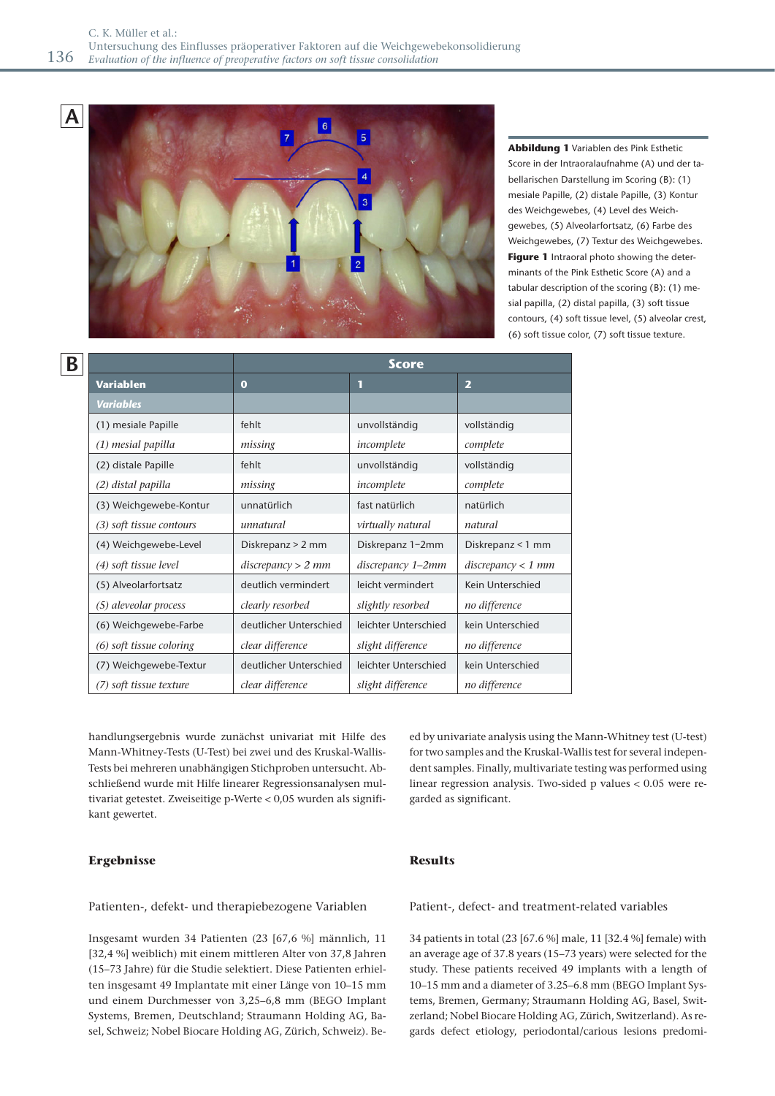**A**



**Abbildung 1** Variablen des Pink Esthetic Score in der Intraoralaufnahme (A) und der tabellarischen Darstellung im Scoring (B): (1) mesiale Papille, (2) distale Papille, (3) Kontur des Weichgewebes, (4) Level des Weichgewebes, (5) Alveolarfortsatz, (6) Farbe des Weichgewebes, (7) Textur des Weichgewebes. **Figure 1** Intraoral photo showing the determinants of the Pink Esthetic Score (A) and a tabular description of the scoring (B): (1) mesial papilla, (2) distal papilla, (3) soft tissue contours, (4) soft tissue level, (5) alveolar crest, (6) soft tissue color, (7) soft tissue texture.

**B**

|                            | <b>Score</b>           |                      |                    |
|----------------------------|------------------------|----------------------|--------------------|
| <b>Variablen</b>           | $\mathbf o$            | 1                    | $\overline{2}$     |
| <b>Variables</b>           |                        |                      |                    |
| (1) mesiale Papille        | fehlt                  | unvollständig        | vollständig        |
| (1) mesial papilla         | missing                | incomplete           | complete           |
| (2) distale Papille        | fehlt                  | unvollständig        | vollständig        |
| (2) distal papilla         | missing                | incomplete           | complete           |
| (3) Weichgewebe-Kontur     | unnatürlich            | fast natürlich       | natürlich          |
| (3) soft tissue contours   | unnatural              | virtually natural    | natural            |
| (4) Weichgewebe-Level      | Diskrepanz > 2 mm      | Diskrepanz 1-2mm     | Diskrepanz < 1 mm  |
| (4) soft tissue level      | discrepancy > 2 mm     | discrepancy 1-2mm    | discrepancy < 1 mm |
| (5) Alveolarfortsatz       | deutlich vermindert    | leicht vermindert    | Kein Unterschied   |
| (5) aleveolar process      | clearly resorbed       | slightly resorbed    | no difference      |
| (6) Weichgewebe-Farbe      | deutlicher Unterschied | leichter Unterschied | kein Unterschied   |
| $(6)$ soft tissue coloring | clear difference       | slight difference    | no difference      |
| (7) Weichgewebe-Textur     | deutlicher Unterschied | leichter Unterschied | kein Unterschied   |
| (7) soft tissue texture    | clear difference       | slight difference    | no difference      |

handlungsergebnis wurde zunächst univariat mit Hilfe des Mann-Whitney-Tests (U-Test) bei zwei und des Kruskal-Wallis-Tests bei mehreren unabhängigen Stichproben untersucht. Abschließend wurde mit Hilfe linearer Regressionsanalysen multivariat getestet. Zweiseitige p-Werte < 0,05 wurden als signifikant gewertet.

## **Ergebnisse**

## Patienten-, defekt- und therapiebezogene Variablen

Insgesamt wurden 34 Patienten (23 [67,6 %] männlich, 11 [32,4 %] weiblich) mit einem mittleren Alter von 37,8 Jahren (15–73 Jahre) für die Studie selektiert. Diese Patienten erhielten insgesamt 49 Implantate mit einer Länge von 10–15 mm und einem Durchmesser von 3,25–6,8 mm (BEGO Implant Systems, Bremen, Deutschland; Straumann Holding AG, Basel, Schweiz; Nobel Biocare Holding AG, Zürich, Schweiz). Beed by univariate analysis using the Mann-Whitney test (U-test) for two samples and the Kruskal-Wallis test for several independent samples. Finally, multivariate testing was performed using linear regression analysis. Two-sided p values < 0.05 were regarded as significant.

## **Results**

## Patient-, defect- and treatment-related variables

34 patients in total (23 [67.6 %] male, 11 [32.4 %] female) with an average age of 37.8 years (15–73 years) were selected for the study. These patients received 49 implants with a length of 10–15 mm and a diameter of 3.25–6.8 mm (BEGO Implant Systems, Bremen, Germany; Straumann Holding AG, Basel, Switzerland; Nobel Biocare Holding AG, Zürich, Switzerland). As regards defect etiology, periodontal/carious lesions predomi-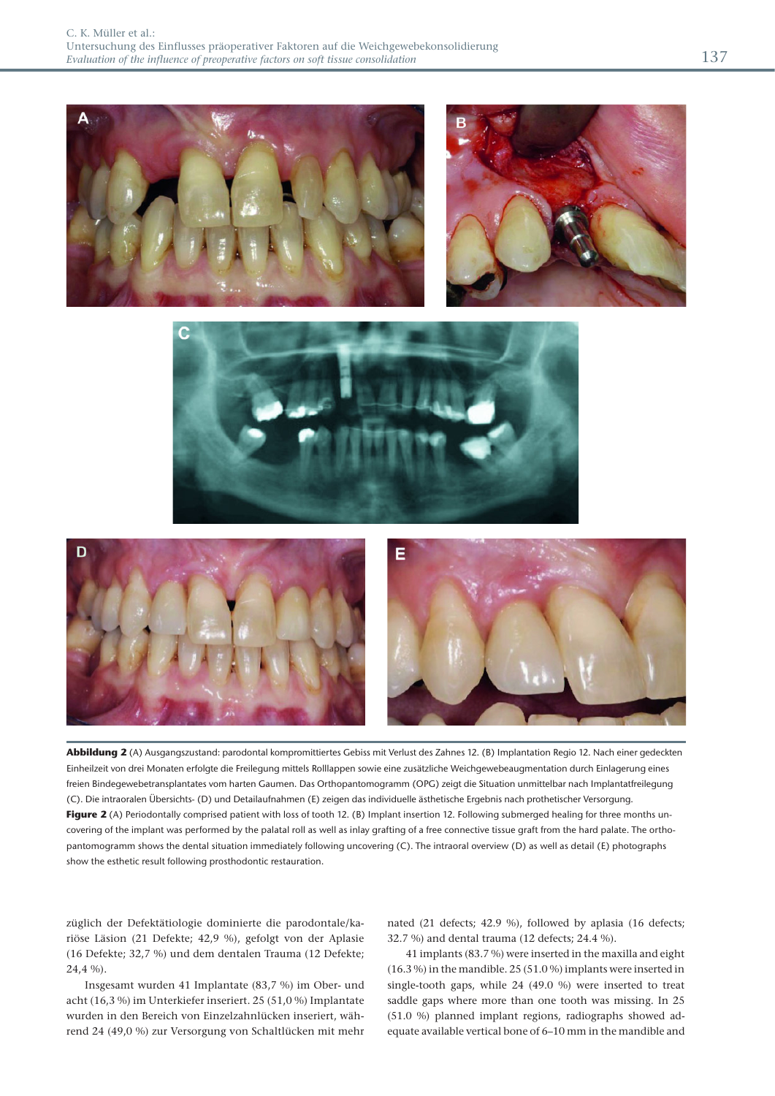

**Abbildung 2** (A) Ausgangszustand: parodontal kompromittiertes Gebiss mit Verlust des Zahnes 12. (B) Implantation Regio 12. Nach einer gedeckten Einheilzeit von drei Monaten erfolgte die Freilegung mittels Rolllappen sowie eine zusätzliche Weichgewebeaugmentation durch Einlagerung eines freien Bindegewebetransplantates vom harten Gaumen. Das Orthopantomogramm (OPG) zeigt die Situation unmittelbar nach Implantatfreilegung (C). Die intraoralen Übersichts- (D) und Detailaufnahmen (E) zeigen das individuelle ästhetische Ergebnis nach prothetischer Versorgung. **Figure 2** (A) Periodontally comprised patient with loss of tooth 12. (B) Implant insertion 12. Following submerged healing for three months uncovering of the implant was performed by the palatal roll as well as inlay grafting of a free connective tissue graft from the hard palate. The orthopantomogramm shows the dental situation immediately following uncovering (C). The intraoral overview (D) as well as detail (E) photographs show the esthetic result following prosthodontic restauration.

züglich der Defektätiologie dominierte die parodontale/kariöse Läsion (21 Defekte; 42,9 %), gefolgt von der Aplasie (16 Defekte; 32,7 %) und dem dentalen Trauma (12 Defekte; 24,4 %).

Insgesamt wurden 41 Implantate (83,7 %) im Ober- und acht (16,3 %) im Unterkiefer inseriert. 25 (51,0 %) Implantate wurden in den Bereich von Einzelzahnlücken inseriert, während 24 (49,0 %) zur Versorgung von Schaltlücken mit mehr nated (21 defects; 42.9 %), followed by aplasia (16 defects; 32.7 %) and dental trauma (12 defects; 24.4 %).

41 implants (83.7 %) were inserted in the maxilla and eight (16.3 %) in the mandible. 25 (51.0 %) implants were inserted in single-tooth gaps, while 24 (49.0 %) were inserted to treat saddle gaps where more than one tooth was missing. In 25 (51.0 %) planned implant regions, radiographs showed adequate available vertical bone of 6–10 mm in the mandible and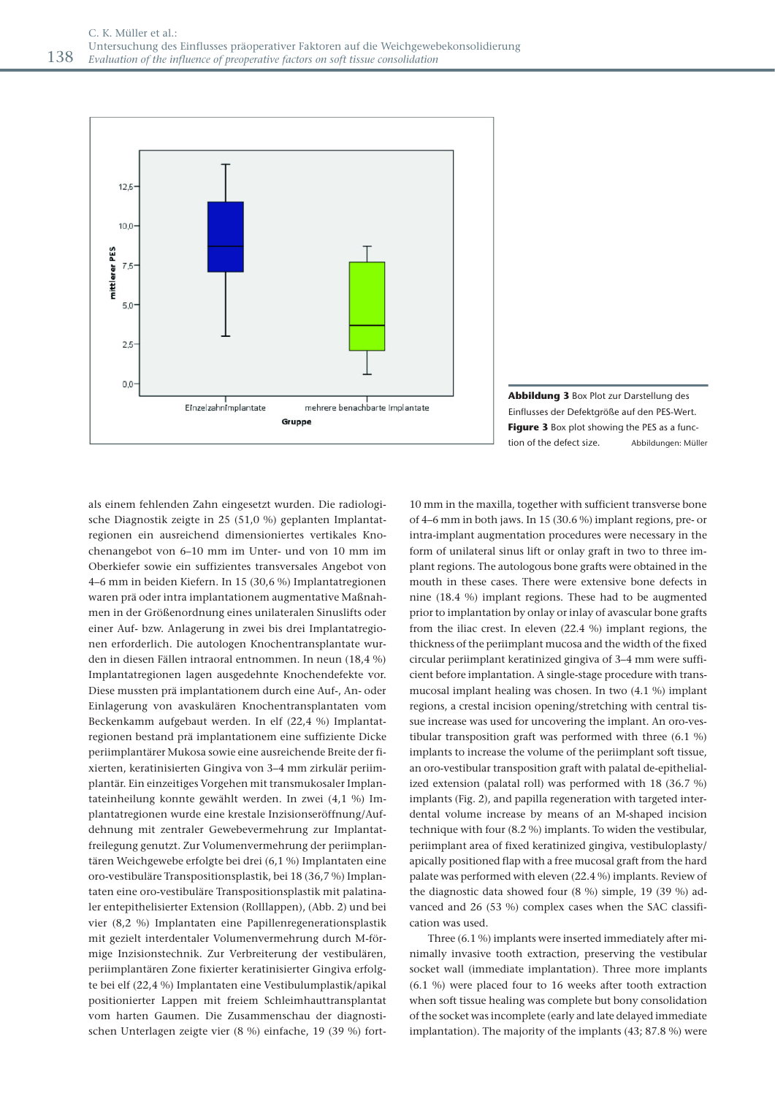

**Abbildung 3** Box Plot zur Darstellung des Einflusses der Defektgröße auf den PES-Wert. **Figure 3** Box plot showing the PES as a function of the defect size. Abbildungen: Müller

als einem fehlenden Zahn eingesetzt wurden. Die radiologische Diagnostik zeigte in 25 (51,0 %) geplanten Implantatregionen ein ausreichend dimensioniertes vertikales Knochenangebot von 6–10 mm im Unter- und von 10 mm im Oberkiefer sowie ein suffizientes transversales Angebot von 4–6 mm in beiden Kiefern. In 15 (30,6 %) Implantatregionen waren prä oder intra implantationem augmentative Maßnahmen in der Größenordnung eines unilateralen Sinuslifts oder einer Auf- bzw. Anlagerung in zwei bis drei Implantatregionen erforderlich. Die autologen Knochentransplantate wurden in diesen Fällen intraoral entnommen. In neun (18,4 %) Implantatregionen lagen ausgedehnte Knochendefekte vor. Diese mussten prä implantationem durch eine Auf-, An- oder Einlagerung von avaskulären Knochentransplantaten vom Beckenkamm aufgebaut werden. In elf (22,4 %) Implantatregionen bestand prä implantationem eine suffiziente Dicke periimplantärer Mukosa sowie eine ausreichende Breite der fixierten, keratinisierten Gingiva von 3–4 mm zirkulär periimplantär. Ein einzeitiges Vorgehen mit transmukosaler Implantateinheilung konnte gewählt werden. In zwei (4,1 %) Implantatregionen wurde eine krestale Inzisionseröffnung/Aufdehnung mit zentraler Gewebevermehrung zur Implantatfreilegung genutzt. Zur Volumenvermehrung der periimplantären Weichgewebe erfolgte bei drei (6,1 %) Implantaten eine oro-vestibuläre Transpositionsplastik, bei 18 (36,7 %) Implantaten eine oro-vestibuläre Transpositionsplastik mit palatinaler entepithelisierter Extension (Rolllappen), (Abb. 2) und bei vier (8,2 %) Implantaten eine Papillenregenerationsplastik mit gezielt interdentaler Volumenvermehrung durch M-förmige Inzisionstechnik. Zur Verbreiterung der vestibulären, periimplantären Zone fixierter keratinisierter Gingiva erfolgte bei elf (22,4 %) Implantaten eine Vestibulumplastik/apikal positionierter Lappen mit freiem Schleimhauttransplantat vom harten Gaumen. Die Zusammenschau der diagnostischen Unterlagen zeigte vier (8 %) einfache, 19 (39 %) fort-

10 mm in the maxilla, together with sufficient transverse bone of 4–6 mm in both jaws. In 15 (30.6 %) implant regions, pre- or intra-implant augmentation procedures were necessary in the form of unilateral sinus lift or onlay graft in two to three implant regions. The autologous bone grafts were obtained in the mouth in these cases. There were extensive bone defects in nine (18.4 %) implant regions. These had to be augmented prior to implantation by onlay or inlay of avascular bone grafts from the iliac crest. In eleven (22.4 %) implant regions, the thickness of the periimplant mucosa and the width of the fixed circular periimplant keratinized gingiva of 3–4 mm were sufficient before implantation. A single-stage procedure with transmucosal implant healing was chosen. In two (4.1 %) implant regions, a crestal incision opening/stretching with central tissue increase was used for uncovering the implant. An oro-vestibular transposition graft was performed with three (6.1 %) implants to increase the volume of the periimplant soft tissue, an oro-vestibular transposition graft with palatal de-epithelialized extension (palatal roll) was performed with 18 (36.7 %) implants (Fig. 2), and papilla regeneration with targeted interdental volume increase by means of an M-shaped incision technique with four (8.2 %) implants. To widen the vestibular, periimplant area of fixed keratinized gingiva, vestibuloplasty/ apically positioned flap with a free mucosal graft from the hard palate was performed with eleven (22.4 %) implants. Review of the diagnostic data showed four (8 %) simple, 19 (39 %) advanced and 26 (53 %) complex cases when the SAC classification was used.

Three (6.1 %) implants were inserted immediately after minimally invasive tooth extraction, preserving the vestibular socket wall (immediate implantation). Three more implants (6.1 %) were placed four to 16 weeks after tooth extraction when soft tissue healing was complete but bony consolidation of the socket was incomplete (early and late delayed immediate implantation). The majority of the implants (43; 87.8 %) were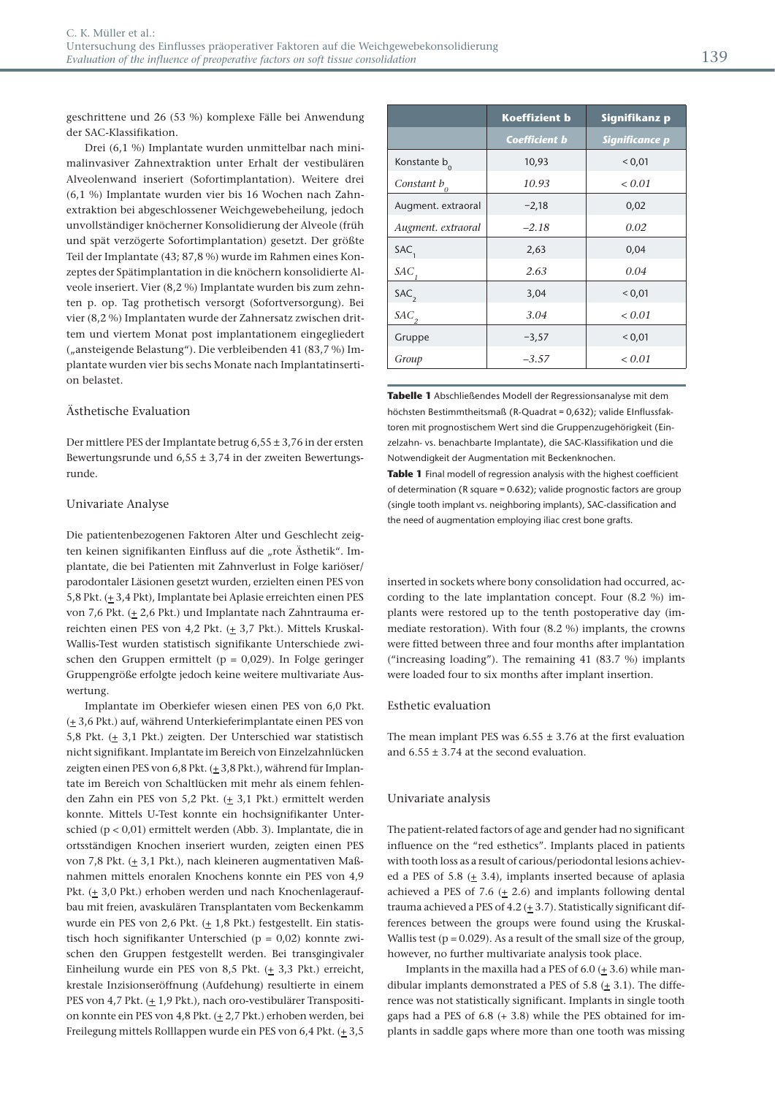geschrittene und 26 (53 %) komplexe Fälle bei Anwendung der SAC-Klassifikation.

Drei (6,1 %) Implantate wurden unmittelbar nach minimalinvasiver Zahnextraktion unter Erhalt der vestibulären Alveolenwand inseriert (Sofortimplantation). Weitere drei (6,1 %) Implantate wurden vier bis 16 Wochen nach Zahnextraktion bei abgeschlossener Weichgewebeheilung, jedoch unvollständiger knöcherner Konsolidierung der Alveole (früh und spät verzögerte Sofortimplantation) gesetzt. Der größte Teil der Implantate (43; 87,8 %) wurde im Rahmen eines Konzeptes der Spätimplantation in die knöchern konsolidierte Alveole inseriert. Vier (8,2 %) Implantate wurden bis zum zehnten p. op. Tag prothetisch versorgt (Sofortversorgung). Bei vier (8,2 %) Implantaten wurde der Zahnersatz zwischen drittem und viertem Monat post implantationem eingegliedert ("ansteigende Belastung"). Die verbleibenden 41 (83,7 %) Implantate wurden vier bis sechs Monate nach Implantatinsertion belastet.

## Ästhetische Evaluation

Der mittlere PES der Implantate betrug 6,55 ± 3,76 in der ersten Bewertungsrunde und 6,55 ± 3,74 in der zweiten Bewertungsrunde.

## Univariate Analyse

Die patientenbezogenen Faktoren Alter und Geschlecht zeigten keinen signifikanten Einfluss auf die "rote Ästhetik". Implantate, die bei Patienten mit Zahnverlust in Folge kariöser/ parodontaler Läsionen gesetzt wurden, erzielten einen PES von 5,8 Pkt. ( $\pm$  3,4 Pkt), Implantate bei Aplasie erreichten einen PES von 7,6 Pkt. ( $\pm$  2,6 Pkt.) und Implantate nach Zahntrauma erreichten einen PES von 4,2 Pkt.  $(± 3,7$  Pkt.). Mittels Kruskal-Wallis-Test wurden statistisch signifikante Unterschiede zwischen den Gruppen ermittelt (p = 0,029). In Folge geringer Gruppengröße erfolgte jedoch keine weitere multivariate Auswertung.

Implantate im Oberkiefer wiesen einen PES von 6,0 Pkt. (+ 3,6 Pkt.) auf, während Unterkieferimplantate einen PES von 5,8 Pkt.  $(\pm 3, 1)$  Pkt.) zeigten. Der Unterschied war statistisch nicht signifikant. Implantate im Bereich von Einzelzahnlücken zeigten einen PES von 6,8 Pkt. (± 3,8 Pkt.), während für Implantate im Bereich von Schaltlücken mit mehr als einem fehlenden Zahn ein PES von 5,2 Pkt. ( $\pm$  3,1 Pkt.) ermittelt werden konnte. Mittels U-Test konnte ein hochsignifikanter Unterschied (p < 0,01) ermittelt werden (Abb. 3). Implantate, die in ortsständigen Knochen inseriert wurden, zeigten einen PES von 7,8 Pkt.  $(\pm 3, 1$  Pkt.), nach kleineren augmentativen Maßnahmen mittels enoralen Knochens konnte ein PES von 4,9 Pkt. (+ 3,0 Pkt.) erhoben werden und nach Knochenlageraufbau mit freien, avaskulären Transplantaten vom Beckenkamm wurde ein PES von 2,6 Pkt.  $(+ 1,8$  Pkt.) festgestellt. Ein statistisch hoch signifikanter Unterschied (p = 0,02) konnte zwischen den Gruppen festgestellt werden. Bei transgingivaler Einheilung wurde ein PES von 8,5 Pkt.  $(± 3,3$  Pkt.) erreicht, krestale Inzisionseröffnung (Aufdehung) resultierte in einem PES von 4,7 Pkt. ( $\pm$  1,9 Pkt.), nach oro-vestibulärer Transposition konnte ein PES von 4,8 Pkt. ( $\pm$  2,7 Pkt.) erhoben werden, bei Freilegung mittels Rolllappen wurde ein PES von 6,4 Pkt.  $(\pm 3.5)$ 

| <b>Koeffizient b</b> | Signifikanz p         |  |
|----------------------|-----------------------|--|
| <b>Coefficient b</b> | <b>Significance p</b> |  |
| 10,93                | < 0.01                |  |
| 10.93                | < 0.01                |  |
| $-2,18$              | 0,02                  |  |
| $-2.18$              | 0.02                  |  |
| 2,63                 | 0,04                  |  |
| 2.63                 | 0.04                  |  |
| 3,04                 | < 0.01                |  |
| 3.04                 | < 0.01                |  |
| $-3,57$              | < 0.01                |  |
| $-3.57$              | < 0.01                |  |
|                      |                       |  |

**Tabelle 1** Abschließendes Modell der Regressionsanalyse mit dem höchsten Bestimmtheitsmaß (R-Quadrat = 0,632); valide EInflussfaktoren mit prognostischem Wert sind die Gruppenzugehörigkeit (Einzelzahn- vs. benachbarte Implantate), die SAC-Klassifikation und die Notwendigkeit der Augmentation mit Beckenknochen.

**Table 1** Final modell of regression analysis with the highest coefficient of determination (R square = 0.632); valide prognostic factors are group (single tooth implant vs. neighboring implants), SAC-classification and the need of augmentation employing iliac crest bone grafts.

inserted in sockets where bony consolidation had occurred, according to the late implantation concept. Four (8.2 %) implants were restored up to the tenth postoperative day (immediate restoration). With four (8.2 %) implants, the crowns were fitted between three and four months after implantation ("increasing loading"). The remaining 41 (83.7 %) implants were loaded four to six months after implant insertion.

## Esthetic evaluation

The mean implant PES was  $6.55 \pm 3.76$  at the first evaluation and  $6.55 \pm 3.74$  at the second evaluation.

#### Univariate analysis

The patient-related factors of age and gender had no significant influence on the "red esthetics". Implants placed in patients with tooth loss as a result of carious/periodontal lesions achieved a PES of 5.8  $(± 3.4)$ , implants inserted because of aplasia achieved a PES of 7.6  $(+ 2.6)$  and implants following dental trauma achieved a PES of 4.2  $(\pm 3.7)$ . Statistically significant differences between the groups were found using the Kruskal-Wallis test ( $p = 0.029$ ). As a result of the small size of the group, however, no further multivariate analysis took place.

Implants in the maxilla had a PES of 6.0 ( $\pm$  3.6) while mandibular implants demonstrated a PES of 5.8  $(+ 3.1)$ . The difference was not statistically significant. Implants in single tooth gaps had a PES of 6.8 (+ 3.8) while the PES obtained for implants in saddle gaps where more than one tooth was missing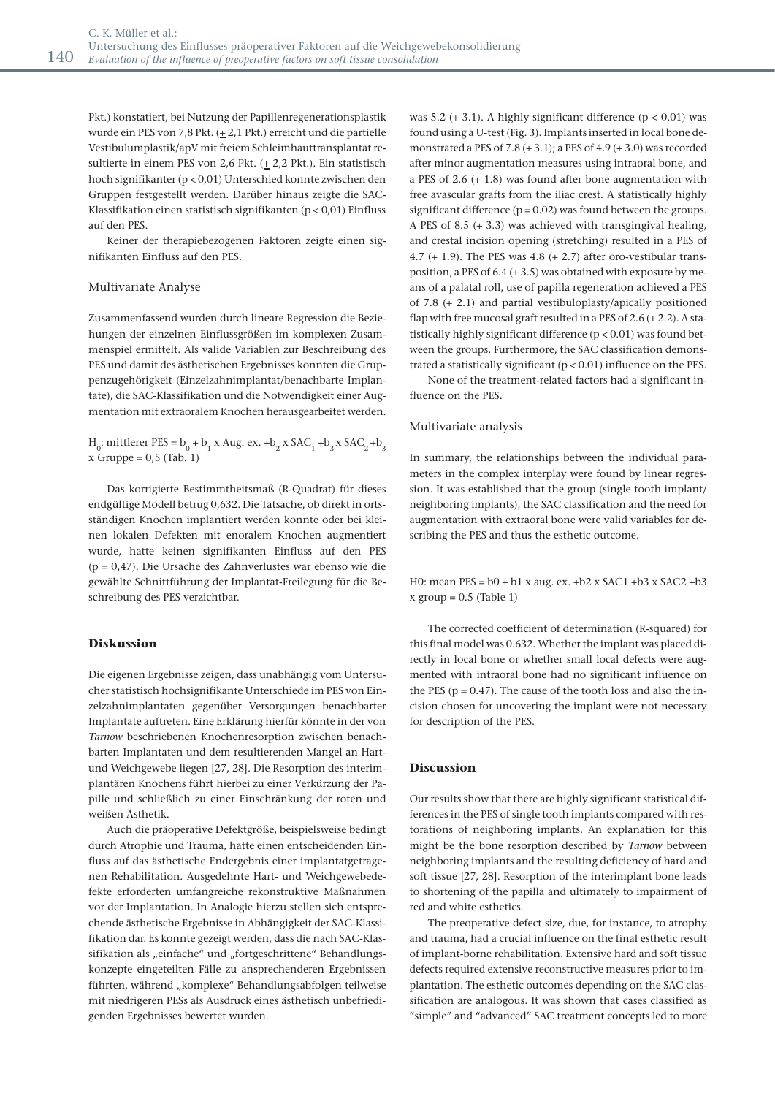Pkt.) konstatiert, bei Nutzung der Papillenregenerationsplastik wurde ein PES von 7,8 Pkt.  $(\pm 2, 1$  Pkt.) erreicht und die partielle Vestibulumplastik/apV mit freiem Schleimhauttransplantat resultierte in einem PES von 2,6 Pkt.  $(\pm 2.2$  Pkt.). Ein statistisch hoch signifikanter (p < 0,01) Unterschied konnte zwischen den Gruppen festgestellt werden. Darüber hinaus zeigte die SAC-Klassifikation einen statistisch signifikanten (p < 0,01) Einfluss auf den PES.

Keiner der therapiebezogenen Faktoren zeigte einen signifikanten Einfluss auf den PES.

#### Multivariate Analyse

Zusammenfassend wurden durch lineare Regression die Beziehungen der einzelnen Einflussgrößen im komplexen Zusammenspiel ermittelt. Als valide Variablen zur Beschreibung des PES und damit des ästhetischen Ergebnisses konnten die Gruppenzugehörigkeit (Einzelzahnimplantat/benachbarte Implantate), die SAC-Klassifikation und die Notwendigkeit einer Augmentation mit extraoralem Knochen herausgearbeitet werden.

H<sub>0</sub>: mittlerer PES =  $b_0 + b_1 x$  Aug. ex.  $+b_2 x$  SAC<sub>1</sub> + $b_3 x$  SAC<sub>2</sub> + $b_3$  $x$  Gruppe = 0,5 (Tab. 1)

Das korrigierte Bestimmtheitsmaß (R-Quadrat) für dieses endgültige Modell betrug 0,632. Die Tatsache, ob direkt in ortsständigen Knochen implantiert werden konnte oder bei kleinen lokalen Defekten mit enoralem Knochen augmentiert wurde, hatte keinen signifikanten Einfluss auf den PES (p = 0,47). Die Ursache des Zahnverlustes war ebenso wie die gewählte Schnittführung der Implantat-Freilegung für die Beschreibung des PES verzichtbar.

## **Diskussion**

Die eigenen Ergebnisse zeigen, dass unabhängig vom Untersucher statistisch hochsignifikante Unterschiede im PES von Einzelzahnimplantaten gegenüber Versorgungen benachbarter Implantate auftreten. Eine Erklärung hierfür könnte in der von *Tarnow* beschriebenen Knochenresorption zwischen benachbarten Implantaten und dem resultierenden Mangel an Hartund Weichgewebe liegen [27, 28]. Die Resorption des interimplantären Knochens führt hierbei zu einer Verkürzung der Papille und schließlich zu einer Einschränkung der roten und weißen Ästhetik.

Auch die präoperative Defektgröße, beispielsweise bedingt durch Atrophie und Trauma, hatte einen entscheidenden Einfluss auf das ästhetische Endergebnis einer implantatgetragenen Rehabilitation. Ausgedehnte Hart- und Weichgewebedefekte erforderten umfangreiche rekonstruktive Maßnahmen vor der Implantation. In Analogie hierzu stellen sich entsprechende ästhetische Ergebnisse in Abhängigkeit der SAC-Klassifikation dar. Es konnte gezeigt werden, dass die nach SAC-Klassifikation als "einfache" und "fortgeschrittene" Behandlungskonzepte eingeteilten Fälle zu ansprechenderen Ergebnissen führten, während "komplexe" Behandlungsabfolgen teilweise mit niedrigeren PESs als Ausdruck eines ästhetisch unbefriedigenden Ergebnisses bewertet wurden.

was 5.2 ( $+$  3.1). A highly significant difference ( $p$  < 0.01) was found using a U-test (Fig. 3). Implants inserted in local bone demonstrated a PES of 7.8  $(+ 3.1)$ ; a PES of 4.9  $(+ 3.0)$  was recorded after minor augmentation measures using intraoral bone, and a PES of 2.6 (+ 1.8) was found after bone augmentation with free avascular grafts from the iliac crest. A statistically highly significant difference  $(p = 0.02)$  was found between the groups. A PES of 8.5 (+ 3.3) was achieved with transgingival healing, and crestal incision opening (stretching) resulted in a PES of 4.7 (+ 1.9). The PES was 4.8 (+ 2.7) after oro-vestibular transposition, a PES of 6.4 (+ 3.5) was obtained with exposure by means of a palatal roll, use of papilla regeneration achieved a PES of 7.8 (+ 2.1) and partial vestibuloplasty/apically positioned flap with free mucosal graft resulted in a PES of  $2.6$  (+  $2.2$ ). A statistically highly significant difference (p < 0.01) was found between the groups. Furthermore, the SAC classification demonstrated a statistically significant  $(p < 0.01)$  influence on the PES.

None of the treatment-related factors had a significant influence on the PES.

## Multivariate analysis

In summary, the relationships between the individual parameters in the complex interplay were found by linear regression. It was established that the group (single tooth implant/ neighboring implants), the SAC classification and the need for augmentation with extraoral bone were valid variables for describing the PES and thus the esthetic outcome.

H0: mean  $PES = b0 + b1$  x aug. ex.  $+b2$  x  $SAC1 + b3$  x  $SAC2 + b3$  $x$  group = 0.5 (Table 1)

The corrected coefficient of determination (R-squared) for this final model was 0.632. Whether the implant was placed directly in local bone or whether small local defects were augmented with intraoral bone had no significant influence on the PES ( $p = 0.47$ ). The cause of the tooth loss and also the incision chosen for uncovering the implant were not necessary for description of the PES.

## **Discussion**

Our results show that there are highly significant statistical differences in the PES of single tooth implants compared with restorations of neighboring implants. An explanation for this might be the bone resorption described by *Tarnow* between neighboring implants and the resulting deficiency of hard and soft tissue [27, 28]. Resorption of the interimplant bone leads to shortening of the papilla and ultimately to impairment of red and white esthetics.

The preoperative defect size, due, for instance, to atrophy and trauma, had a crucial influence on the final esthetic result of implant-borne rehabilitation. Extensive hard and soft tissue defects required extensive reconstructive measures prior to implantation. The esthetic outcomes depending on the SAC classification are analogous. It was shown that cases classified as "simple" and "advanced" SAC treatment concepts led to more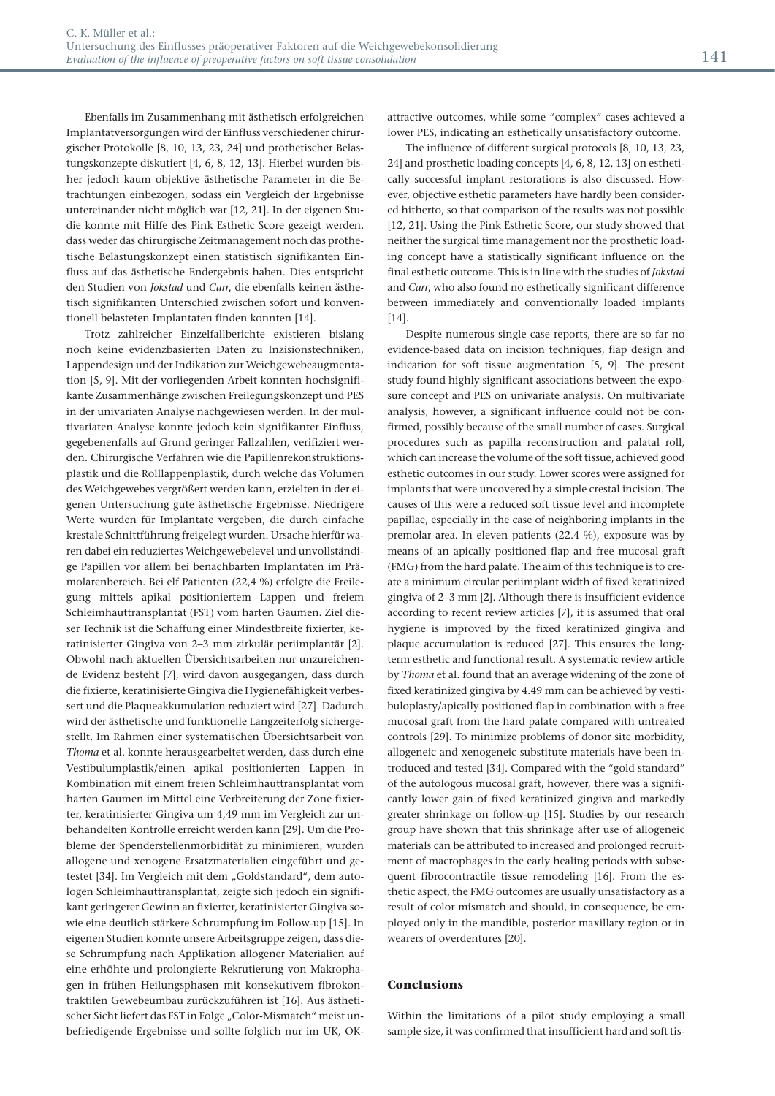Ebenfalls im Zusammenhang mit ästhetisch erfolgreichen Implantatversorgungen wird der Einfluss verschiedener chirurgischer Protokolle [8, 10, 13, 23, 24] und prothetischer Belastungskonzepte diskutiert [4, 6, 8, 12, 13]. Hierbei wurden bisher jedoch kaum objektive ästhetische Parameter in die Betrachtungen einbezogen, sodass ein Vergleich der Ergebnisse untereinander nicht möglich war [12, 21]. In der eigenen Studie konnte mit Hilfe des Pink Esthetic Score gezeigt werden, dass weder das chirurgische Zeitmanagement noch das prothetische Belastungskonzept einen statistisch signifikanten Einfluss auf das ästhetische Endergebnis haben. Dies entspricht den Studien von *Jokstad* und *Carr*, die ebenfalls keinen ästhetisch signifikanten Unterschied zwischen sofort und konventionell belasteten Implantaten finden konnten [14].

Trotz zahlreicher Einzelfallberichte existieren bislang noch keine evidenzbasierten Daten zu Inzisionstechniken, Lappendesign und der Indikation zur Weichgewebeaugmentation [5, 9]. Mit der vorliegenden Arbeit konnten hochsignifikante Zusammenhänge zwischen Freilegungskonzept und PES in der univariaten Analyse nachgewiesen werden. In der multivariaten Analyse konnte jedoch kein signifikanter Einfluss, gegebenenfalls auf Grund geringer Fallzahlen, verifiziert werden. Chirurgische Verfahren wie die Papillenrekonstruktionsplastik und die Rolllappenplastik, durch welche das Volumen des Weichgewebes vergrößert werden kann, erzielten in der eigenen Untersuchung gute ästhetische Ergebnisse. Niedrigere Werte wurden für Implantate vergeben, die durch einfache krestale Schnittführung freigelegt wurden. Ursache hierfür waren dabei ein reduziertes Weichgewebelevel und unvollständige Papillen vor allem bei benachbarten Implantaten im Prämolarenbereich. Bei elf Patienten (22,4 %) erfolgte die Freilegung mittels apikal positioniertem Lappen und freiem Schleimhauttransplantat (FST) vom harten Gaumen. Ziel dieser Technik ist die Schaffung einer Mindestbreite fixierter, keratinisierter Gingiva von 2–3 mm zirkulär periimplantär [2]. Obwohl nach aktuellen Übersichtsarbeiten nur unzureichende Evidenz besteht [7], wird davon ausgegangen, dass durch die fixierte, keratinisierte Gingiva die Hygienefähigkeit verbessert und die Plaqueakkumulation reduziert wird [27]. Dadurch wird der ästhetische und funktionelle Langzeiterfolg sichergestellt. Im Rahmen einer systematischen Übersichtsarbeit von *Thoma* et al. konnte herausgearbeitet werden, dass durch eine Vestibulumplastik/einen apikal positionierten Lappen in Kombination mit einem freien Schleimhauttransplantat vom harten Gaumen im Mittel eine Verbreiterung der Zone fixierter, keratinisierter Gingiva um 4,49 mm im Vergleich zur unbehandelten Kontrolle erreicht werden kann [29]. Um die Probleme der Spenderstellenmorbidität zu minimieren, wurden allogene und xenogene Ersatzmaterialien eingeführt und getestet [34]. Im Vergleich mit dem "Goldstandard", dem autologen Schleimhauttransplantat, zeigte sich jedoch ein signifikant geringerer Gewinn an fixierter, keratinisierter Gingiva sowie eine deutlich stärkere Schrumpfung im Follow-up [15]. In eigenen Studien konnte unsere Arbeitsgruppe zeigen, dass diese Schrumpfung nach Applikation allogener Materialien auf eine erhöhte und prolongierte Rekrutierung von Makrophagen in frühen Heilungsphasen mit konsekutivem fibrokontraktilen Gewebeumbau zurückzuführen ist [16]. Aus ästhetischer Sicht liefert das FST in Folge "Color-Mismatch" meist unbefriedigende Ergebnisse und sollte folglich nur im UK, OK-

attractive outcomes, while some "complex" cases achieved a lower PES, indicating an esthetically unsatisfactory outcome.

The influence of different surgical protocols [8, 10, 13, 23, 24] and prosthetic loading concepts [4, 6, 8, 12, 13] on esthetically successful implant restorations is also discussed. However, objective esthetic parameters have hardly been considered hitherto, so that comparison of the results was not possible [12, 21]. Using the Pink Esthetic Score, our study showed that neither the surgical time management nor the prosthetic loading concept have a statistically significant influence on the final esthetic outcome. This is in line with the studies of *Jokstad* and *Carr*, who also found no esthetically significant difference between immediately and conventionally loaded implants [14].

Despite numerous single case reports, there are so far no evidence-based data on incision techniques, flap design and indication for soft tissue augmentation [5, 9]. The present study found highly significant associations between the exposure concept and PES on univariate analysis. On multivariate analysis, however, a significant influence could not be confirmed, possibly because of the small number of cases. Surgical procedures such as papilla reconstruction and palatal roll, which can increase the volume of the soft tissue, achieved good esthetic outcomes in our study. Lower scores were assigned for implants that were uncovered by a simple crestal incision. The causes of this were a reduced soft tissue level and incomplete papillae, especially in the case of neighboring implants in the premolar area. In eleven patients (22.4 %), exposure was by means of an apically positioned flap and free mucosal graft (FMG) from the hard palate. The aim of this technique is to create a minimum circular periimplant width of fixed keratinized gingiva of 2–3 mm [2]. Although there is insufficient evidence according to recent review articles [7], it is assumed that oral hygiene is improved by the fixed keratinized gingiva and plaque accumulation is reduced [27]. This ensures the longterm esthetic and functional result. A systematic review article by *Thoma* et al. found that an average widening of the zone of fixed keratinized gingiva by 4.49 mm can be achieved by vestibuloplasty/apically positioned flap in combination with a free mucosal graft from the hard palate compared with untreated controls [29]. To minimize problems of donor site morbidity, allogeneic and xenogeneic substitute materials have been introduced and tested [34]. Compared with the "gold standard" of the autologous mucosal graft, however, there was a significantly lower gain of fixed keratinized gingiva and markedly greater shrinkage on follow-up [15]. Studies by our research group have shown that this shrinkage after use of allogeneic materials can be attributed to increased and prolonged recruitment of macrophages in the early healing periods with subsequent fibrocontractile tissue remodeling [16]. From the esthetic aspect, the FMG outcomes are usually unsatisfactory as a result of color mismatch and should, in consequence, be employed only in the mandible, posterior maxillary region or in wearers of overdentures [20].

## **Conclusions**

Within the limitations of a pilot study employing a small sample size, it was confirmed that insufficient hard and soft tis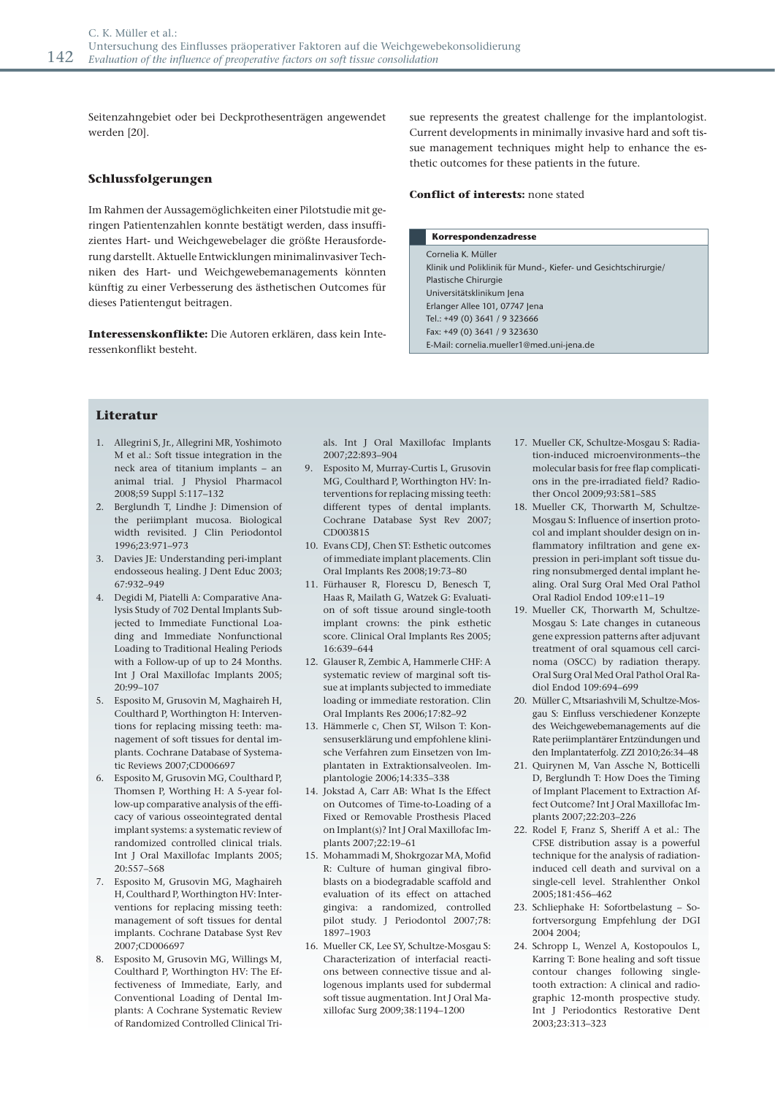Seitenzahngebiet oder bei Deckprothesenträgen angewendet werden [20].

## **Schlussfolgerungen**

Im Rahmen der Aussagemöglichkeiten einer Pilotstudie mit geringen Patientenzahlen konnte bestätigt werden, dass insuffizientes Hart- und Weichgewebelager die größte Herausforderung darstellt. Aktuelle Entwicklungen minimalinvasiver Techniken des Hart- und Weichgewebemanagements könnten künftig zu einer Verbesserung des ästhetischen Outcomes für dieses Patientengut beitragen.

**Interessenskonflikte:** Die Autoren erklären, dass kein Interessenkonflikt besteht.

sue represents the greatest challenge for the implantologist. Current developments in minimally invasive hard and soft tissue management techniques might help to enhance the esthetic outcomes for these patients in the future.

## **Conflict of interests:** none stated

## **Korrespondenzadresse**

Cornelia K. Müller Klinik und Poliklinik für Mund-, Kiefer- und Gesichtschirurgie/ Plastische Chirurgie Universitätsklinikum Jena Erlanger Allee 101, 07747 Jena Tel.: +49 (0) 3641 / 9 323666 Fax: +49 (0) 3641 / 9 323630 E-Mail: cornelia.mueller1@med.uni-jena.de

## **Literatur**

- 1. Allegrini S, Jr., Allegrini MR, Yoshimoto M et al.: Soft tissue integration in the neck area of titanium implants – an animal trial. J Physiol Pharmacol 2008;59 Suppl 5:117–132
- 2. Berglundh T, Lindhe J: Dimension of the periimplant mucosa. Biological width revisited. J Clin Periodontol 1996;23:971–973
- 3. Davies JE: Understanding peri-implant endosseous healing. J Dent Educ 2003; 67:932–949
- 4. Degidi M, Piatelli A: Comparative Analysis Study of 702 Dental Implants Subjected to Immediate Functional Loading and Immediate Nonfunctional Loading to Traditional Healing Periods with a Follow-up of up to 24 Months. Int J Oral Maxillofac Implants 2005; 20:99–107
- 5. Esposito M, Grusovin M, Maghaireh H, Coulthard P, Worthington H: Interventions for replacing missing teeth: management of soft tissues for dental implants. Cochrane Database of Systematic Reviews 2007;CD006697
- 6. Esposito M, Grusovin MG, Coulthard P, Thomsen P, Worthing H: A 5-year follow-up comparative analysis of the efficacy of various osseointegrated dental implant systems: a systematic review of randomized controlled clinical trials. Int J Oral Maxillofac Implants 2005; 20:557–568
- 7. Esposito M, Grusovin MG, Maghaireh H, Coulthard P, Worthington HV: Interventions for replacing missing teeth: management of soft tissues for dental implants. Cochrane Database Syst Rev 2007;CD006697
- 8. Esposito M, Grusovin MG, Willings M, Coulthard P, Worthington HV: The Effectiveness of Immediate, Early, and Conventional Loading of Dental Implants: A Cochrane Systematic Review of Randomized Controlled Clinical Tri-

als. Int J Oral Maxillofac Implants 2007;22:893–904

- 9. Esposito M, Murray-Curtis L, Grusovin MG, Coulthard P, Worthington HV: Interventions for replacing missing teeth: different types of dental implants. Cochrane Database Syst Rev 2007; CD003815
- 10. Evans CDJ, Chen ST: Esthetic outcomes of immediate implant placements. Clin Oral Implants Res 2008;19:73–80
- 11. Fürhauser R, Florescu D, Benesch T, Haas R, Mailath G, Watzek G: Evaluation of soft tissue around single-tooth implant crowns: the pink esthetic score. Clinical Oral Implants Res 2005; 16:639–644
- 12. Glauser R, Zembic A, Hammerle CHF: A systematic review of marginal soft tissue at implants subjected to immediate loading or immediate restoration. Clin Oral Implants Res 2006;17:82–92
- 13. Hämmerle c, Chen ST, Wilson T: Konsensuserklärung und empfohlene klinische Verfahren zum Einsetzen von Implantaten in Extraktionsalveolen. Implantologie 2006;14:335–338
- 14. Jokstad A, Carr AB: What Is the Effect on Outcomes of Time-to-Loading of a Fixed or Removable Prosthesis Placed on Implant(s)? Int J Oral Maxillofac Implants 2007;22:19–61
- 15. Mohammadi M, Shokrgozar MA, Mofid R: Culture of human gingival fibroblasts on a biodegradable scaffold and evaluation of its effect on attached gingiva: a randomized, controlled pilot study. J Periodontol 2007;78: 1897–1903
- 16. Mueller CK, Lee SY, Schultze-Mosgau S: Characterization of interfacial reactions between connective tissue and allogenous implants used for subdermal soft tissue augmentation. Int J Oral Maxillofac Surg 2009;38:1194–1200
- 17. Mueller CK, Schultze-Mosgau S: Radiation-induced microenvironments--the molecular basis for free flap complications in the pre-irradiated field? Radiother Oncol 2009;93:581–585
- 18. Mueller CK, Thorwarth M, Schultze-Mosgau S: Influence of insertion protocol and implant shoulder design on inflammatory infiltration and gene expression in peri-implant soft tissue during nonsubmerged dental implant healing. Oral Surg Oral Med Oral Pathol Oral Radiol Endod 109:e11–19
- 19. Mueller CK, Thorwarth M, Schultze-Mosgau S: Late changes in cutaneous gene expression patterns after adjuvant treatment of oral squamous cell carcinoma (OSCC) by radiation therapy. Oral Surg Oral Med Oral Pathol Oral Radiol Endod 109:694–699
- 20. Müller C, Mtsariashvili M, Schultze-Mosgau S: Einfluss verschiedener Konzepte des Weichgewebemanagements auf die Rate periimplantärer Entzündungen und den Implantaterfolg. ZZI 2010;26:34–48
- 21. Quirynen M, Van Assche N, Botticelli D, Berglundh T: How Does the Timing of Implant Placement to Extraction Affect Outcome? Int J Oral Maxillofac Implants 2007;22:203–226
- 22. Rodel F, Franz S, Sheriff A et al.: The CFSE distribution assay is a powerful technique for the analysis of radiationinduced cell death and survival on a single-cell level. Strahlenther Onkol 2005;181:456–462
- 23. Schliephake H: Sofortbelastung Sofortversorgung Empfehlung der DGI 2004 2004;
- 24. Schropp L, Wenzel A, Kostopoulos L, Karring T: Bone healing and soft tissue contour changes following singletooth extraction: A clinical and radiographic 12-month prospective study. Int J Periodontics Restorative Dent 2003;23:313–323